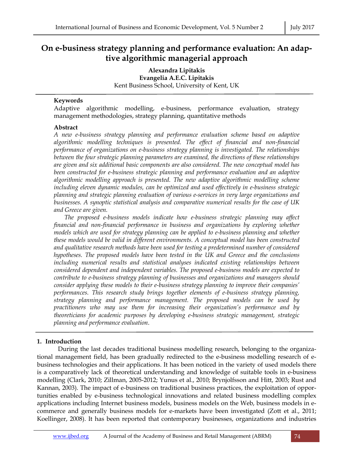# **On e-business strategy planning and performance evaluation: An adaptive algorithmic managerial approach**

**Alexandra Lipitakis Evangelia A.E.C. Lipitakis** Kent Business School, University of Kent, UK

## **Keywords**

Adaptive algorithmic modelling, e-business, performance evaluation, strategy management methodologies, strategy planning, quantitative methods

# **Abstract**

*A new e-business strategy planning and performance evaluation scheme based on adaptive algorithmic modelling techniques is presented. The effect of financial and non-financial performance of organizations on e-business strategy planning is investigated. The relationships between the four strategic planning parameters are examined, the directions of these relationships are given and six additional basic components are also considered. The new conceptual model has been constructed for e-business strategic planning and performance evaluation and an adaptive algorithmic modelling approach is presented. The new adaptive algorithmic modelling scheme including eleven dynamic modules, can be optimized and used effectively in e-business strategic planning and strategic planning evaluation of various e-services in very large organizations and businesses. A synoptic statistical analysis and comparative numerical results for the case of UK and Greece are given.* 

*The proposed e-business models indicate how e-business strategic planning may affect financial and non-financial performance in business and organizations by exploring whether models which are used for strategy planning can be applied to e-business planning and whether these models would be valid in different environments. A conceptual model has been constructed and qualitative research methods have been used for testing a predetermined number of considered hypotheses. The proposed models have been tested in the UK and Greece and the conclusions including numerical results and statistical analyses indicated existing relationships between considered dependent and independent variables. The proposed e-business models are expected to contribute to e-business strategy planning of businesses and organizations and managers should consider applying these models to their e-business strategy planning to improve their companies' performances. This research study brings together elements of e-business strategy planning, strategy planning and performance management. The proposed models can be used by practitioners who may use them for increasing their organization's performance and by theoreticians for academic purposes by developing e-business strategic management, strategic planning and performance evaluation*.

# **1. Introduction**

 During the last decades traditional business modelling research, belonging to the organizational management field, has been gradually redirected to the e-business modelling research of ebusiness technologies and their applications. It has been noticed in the variety of used models there is a comparatively lack of theoretical understanding and knowledge of suitable tools in e-business modelling (Clark, 2010; Zillman, 2005-2012; Yunus et al., 2010; Brynjolfsson and Hitt, 2003; Rust and Kannan, 2003). The impact of e-business on traditional business practices, the exploitation of opportunities enabled by e-business technological innovations and related business modelling complex applications including Internet business models, business models on the Web, business models in ecommerce and generally business models for e-markets have been investigated (Zott et al., 2011; Koellinger, 2008). It has been reported that contemporary businesses, organizations and industries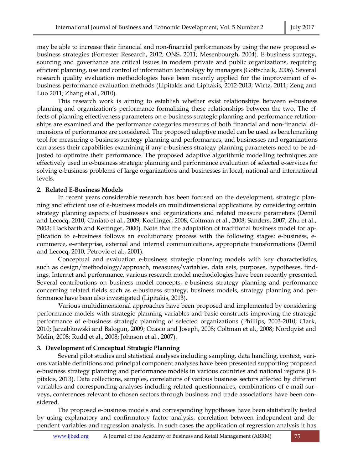may be able to increase their financial and non-financial performances by using the new proposed ebusiness strategies (Forrester Research, 2012; ONS, 2011; Mesenbourgh, 2004). E-business strategy, sourcing and governance are critical issues in modern private and public organizations, requiring efficient planning, use and control of information technology by managers (Gottschalk, 2006). Several research quality evaluation methodologies have been recently applied for the improvement of ebusiness performance evaluation methods (Lipitakis and Lipitakis, 2012-2013; Wirtz, 2011; Zeng and Luo 2011; Zhang et al., 2010).

This research work is aiming to establish whether exist relationships between e-business planning and organization's performance formalizing these relationships between the two. The effects of planning effectiveness parameters on e-business strategic planning and performance relationships are examined and the performance categories measures of both financial and non-financial dimensions of performance are considered. The proposed adaptive model can be used as benchmarking tool for measuring e-business strategy planning and performances, and businesses and organizations can assess their capabilities examining if any e-business strategy planning parameters need to be adjusted to optimize their performance. The proposed adaptive algorithmic modelling techniques are effectively used in e-business strategic planning and performance evaluation of selected e-services for solving e-business problems of large organizations and businesses in local, national and international levels.

#### **2. Related E-Business Models**

 In recent years considerable research has been focused on the development, strategic planning and efficient use of e-business models on multidimensional applications by considering certain strategy planning aspects of businesses and organizations and related measure parameters (Demil and Lecocq, 2010; Caniato et al., 2009; Koellinger, 2008; Coltman et al., 2008; Sanders, 2007; Zhu et al., 2003; Hackbarth and Kettinger, 2000). Note that the adaptation of traditional business model for application to e-business follows an evolutionary process with the following stages: e-business, ecommerce, e-enterprise, external and internal communications, appropriate transformations (Demil and Lecocq, 2010; Petrovic et al., 2001).

Conceptual and evaluation e-business strategic planning models with key characteristics, such as design/methodology/approach, measures/variables, data sets, purposes, hypotheses, findings, Internet and performance, various research model methodologies have been recently presented. Several contributions on business model concepts, e-business strategy planning and performance concerning related fields such as e-business strategy, business models, strategy planning and performance have been also investigated (Lipitakis, 2013).

Various multidimensional approaches have been proposed and implemented by considering performance models with strategic planning variables and basic constructs improving the strategic performance of e-business strategic planning of selected organizations (Phillips, 2003-2010; Clark, 2010; Jarzabkowski and Balogun, 2009; Ocasio and Joseph, 2008; Coltman et al., 2008; Nordqvist and Melin, 2008; Rudd et al., 2008; Johnson et al., 2007).

#### **3. Development of Conceptual Strategic Planning**

Several pilot studies and statistical analyses including sampling, data handling, context, various variable definitions and principal component analyses have been presented supporting proposed e-business strategy planning and performance models in various countries and national regions (Lipitakis, 2013). Data collections, samples, correlations of various business sectors affected by different variables and corresponding analyses including related questionnaires, combinations of e-mail surveys, conferences relevant to chosen sectors through business and trade associations have been considered.

 The proposed e-business models and corresponding hypotheses have been statistically tested by using explanatory and confirmatory factor analysis, correlation between independent and dependent variables and regression analysis. In such cases the application of regression analysis it has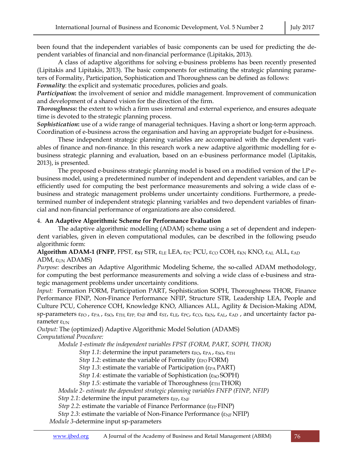been found that the independent variables of basic components can be used for predicting the dependent variables of financial and non-financial performance (Lipitakis, 2013)*.*

 A class of adaptive algorithms for solving e-business problems has been recently presented (Lipitakis and Lipitakis, 2013). The basic components for estimating the strategic planning parameters of Formality, Participation, Sophistication and Thoroughness can be defined as follows:

*Formality*: the explicit and systematic procedures, policies and goals.

*Participation***:** the involvement of senior and middle management. Improvement of communication and development of a shared vision for the direction of the firm.

*Thoroughness***:** the extent to which a firm uses internal and external experience, and ensures adequate time is devoted to the strategic planning process.

*Sophistication***:** use of a wide range of managerial techniques. Having a short or long-term approach. Coordination of e-business across the organisation and having an appropriate budget for e-business.

 These independent strategic planning variables are accompanied with the dependent variables of finance and non-finance. In this research work a new adaptive algorithmic modelling for ebusiness strategic planning and evaluation, based on an e-business performance model (Lipitakis, 2013), is presented.

 The proposed e-business strategic planning model is based on a modified version of the LP ebusiness model, using a predetermined number of independent and dependent variables, and can be efficiently used for computing the best performance measurements and solving a wide class of ebusiness and strategic management problems under uncertainty conditions. Furthermore, a predetermined number of independent strategic planning variables and two dependent variables of financial and non-financial performance of organizations are also considered.

#### 4. **An Adaptive Algorithmic Scheme for Performance Evaluation**

 The adaptive algorithmic modelling (ADAM) scheme using a set of dependent and independent variables, given in eleven computational modules, can be described in the following pseudo algorithmic form:

**Algorithm ADAM-1 (FNFP**, FPST,  $\epsilon_{ST}$  STR,  $\epsilon_{LE}$  LEA,  $\epsilon_{PC}$  PCU,  $\epsilon_{CO}$  COH,  $\epsilon_{KN}$  KNO,  $\epsilon_{AL}$  ALL,  $\epsilon_{AD}$ ADM,  $ε<sub>UN</sub>$  ADAMS)

*Purpose:* describes an Adaptive Algorithmic Modeling Scheme, the so-called ADAM methodology, for computing the best performance measurements and solving a wide class of e-business and strategic management problems under uncertainty conditions.

*Input: Formation FORM, Participation PART, Sophistication SOPH, Thoroughness THOR, Finance* Performance FINP, Non-Finance Performance NFIP, Structure STR, Leadership LEA, People and Culture PCU, Coherence COH, Knowledge KNO, Alliances ALL, Agility & Decision-Making ADM, sp-parameters ε<sub>FO</sub>, ε<sub>PA</sub>, ε<sub>SO</sub>, ε<sub>TH,</sub> ε<sub>FP,</sub> ε<sub>NF</sub> and ε<sub>ST</sub>, ε<sub>LE</sub>, ε<sub>PC</sub>, ε<sub>CO</sub>, ε<sub>KN</sub>, ε<sub>AL</sub>, ε<sub>AD</sub>, and uncertainty factor parameter ε<sub>UN</sub>

*Output:* The (optimized) Adaptive Algorithmic Model Solution (ADAMS) *Computational Procedure:* 

*Module 1-estimate the independent variables FPST (FORM, PART, SOPH, THOR)*

*Step 1.1*: determine the input parameters  $\varepsilon_{FO}$ ,  $\varepsilon_{PA}$ ,  $\varepsilon_{SO}$ ,  $\varepsilon_{TH}$ 

*Step 1.2*: estimate the variable of Formality ( $\epsilon_{FO}$  FORM)

*Step 1.3*: estimate the variable of Participation ( $\epsilon_{PA}$  PART)

*Step 1.4:* estimate the variable of Sophistication (ε<sub>SO</sub> SOPH)

*Step 1.5:* estimate the variable of Thoroughness ( $\varepsilon_{TH}$ THOR)

*Module 2- estimate the dependent strategic planning variables FNFP (FINP, NFIP)* 

*Step 2.1*: determine the input parameters  $\varepsilon_{\text{FP}}$ ,  $\varepsilon_{\text{NF}}$ 

*Step 2.2*: estimate the variable of Finance Performance ( $\epsilon$ <sub>FP</sub> FINP)

*Step 2.3*: estimate the variable of Non-Finance Performance (ε<sub>NF</sub> NFIP)

*Module 3-*determine input sp-parameters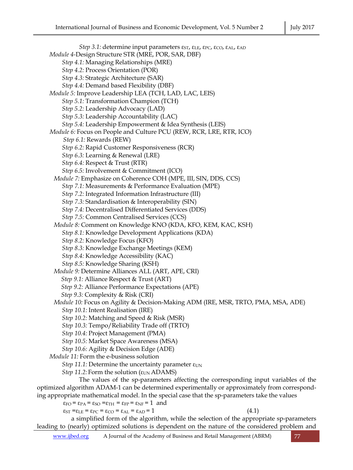*Step 3.1:* determine input parameters ε<sub>ST</sub>, ε<sub>LE</sub>, ε<sub>PC</sub>, ε<sub>CO</sub>, ε<sub>AL</sub>, ε<sub>AD</sub> *Module 4-*Design Structure STR (MRE, POR, SAR, DBF) *Step 4.1:* Managing Relationships (MRE) *Step 4.2:* Process Orientation (POR) *Step 4.3:* Strategic Architecture (SAR) *Step 4.4:* Demand based Flexibility (DBF) *Module 5:* Improve Leadership LEA (TCH, LAD, LAC, LEIS) *Step 5.1:* Transformation Champion (TCH) *Step 5.2:* Leadership Advocacy (LAD) *Step 5.3:* Leadership Accountability (LAC) *Step 5.4:* Leadership Empowerment & Idea Synthesis (LEIS) *Module 6:* Focus on People and Culture PCU (REW, RCR, LRE, RTR, ICO) *Step 6.1:* Rewards (REW) *Step 6.2:* Rapid Customer Responsiveness (RCR) *Step 6.3:* Learning & Renewal (LRE) *Step 6.4:* Respect & Trust (RTR) *Step 6.5:* Involvement & Commitment (ICO) *Module 7:* Emphasize on Coherence COH (MPE, III, SIN, DDS, CCS) *Step 7.1:* Measurements & Performance Evaluation (MPE) *Step 7.2:* Integrated Information Infrastructure (III) *Step 7.3:* Standardisation & Interoperability (SIN) *Step 7.4:* Decentralised Differentiated Services (DDS) *Step 7.5:* Common Centralised Services (CCS) *Module 8:* Comment on Knowledge KNO (KDA, KFO, KEM, KAC, KSH) *Step 8.1:* Knowledge Development Applications (KDA) *Step 8.2:* Knowledge Focus (KFO) *Step 8.3:* Knowledge Exchange Meetings (KEM) *Step 8.4:* Knowledge Accessibility (KAC) *Step 8.5:* Knowledge Sharing (KSH) *Module 9:* Determine Alliances ALL (ART, APE, CRI) *Step 9.1:* Alliance Respect & Trust (ART) *Step 9.2:* Alliance Performance Expectations (APE) *Step 9.3:* Complexity & Risk (CRI) *Module 10:* Focus on Agility & Decision-Making ADM (IRE, MSR, TRTO, PMA, MSA, ADE) *Step 10.1:* Intent Realisation (IRE) *Step 10.2:* Matching and Speed & Risk (MSR) *Step 10.3:* Tempo/Reliability Trade off (TRTO) *Step 10.4:* Project Management (PMA) *Step 10.5:* Market Space Awareness (MSA) *Step 10.6:* Agility & Decision Edge (ADE) *Module 11:* Form the e-business solution *Step 11.1:* Determine the uncertainty parameter  $\varepsilon_{UN}$ *Step 11.2:* Form the solution ( $\epsilon_{UN}$  ADAMS) The values of the sp-parameters affecting the corresponding input variables of the optimized algorithm ADAM-1 can be determined experimentally or approximately from corresponding appropriate mathematical model. In the special case that the sp-parameters take the values  $\varepsilon_{FO} = \varepsilon_{PA} = \varepsilon_{SO} = \varepsilon_{TH} = \varepsilon_{FP} = \varepsilon_{NF} = 1$  and  $\varepsilon_{ST} = \varepsilon_{LE} = \varepsilon_{PC} = \varepsilon_{CO} = \varepsilon_{AL} = \varepsilon_{AD} = 1$  (4.1) a simplified form of the algorithm, while the selection of the appropriate sp-parameters leading to (nearly) optimized solutions is dependent on the nature of the considered problem and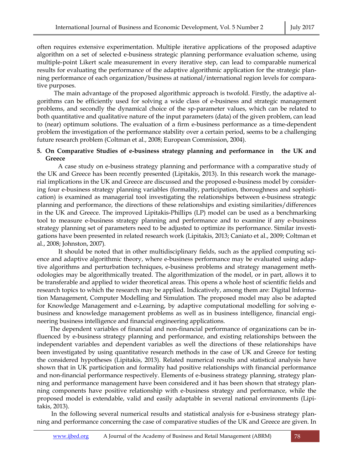often requires extensive experimentation. Multiple iterative applications of the proposed adaptive algorithm on a set of selected e-business strategic planning performance evaluation scheme, using multiple-point Likert scale measurement in every iterative step, can lead to comparable numerical results for evaluating the performance of the adaptive algorithmic application for the strategic planning performance of each organization/business at national/international region levels for comparative purposes.

The main advantage of the proposed algorithmic approach is twofold. Firstly, the adaptive algorithms can be efficiently used for solving a wide class of e-business and strategic management problems, and secondly the dynamical choice of the sp-parameter values, which can be related to both quantitative and qualitative nature of the input parameters (data) of the given problem, can lead to (near) optimum solutions. The evaluation of a firm e-business performance as a time-dependent problem the investigation of the performance stability over a certain period, seems to be a challenging future research problem (Coltman et al., 2008; European Commission, 2004).

#### **5. On Comparative Studies of e-business strategy planning and performance in the UK and Greece**

A case study on e-business strategy planning and performance with a comparative study of the UK and Greece has been recently presented (Lipitakis, 2013). In this research work the managerial implications in the UK and Greece are discussed and the proposed e-business model by considering four e-business strategy planning variables (formality, participation, thoroughness and sophistication) is examined as managerial tool investigating the relationships between e-business strategic planning and performance, the directions of these relationships and existing similarities/differences in the UK and Greece. The improved Lipitakis-Phillips (LP) model can be used as a benchmarking tool to measure e-business strategy planning and performance and to examine if any e-business strategy planning set of parameters need to be adjusted to optimize its performance. Similar investigations have been presented in related research work (Lipitakis, 2013; Caniato et al., 2009; Coltman et al., 2008; Johnston, 2007)*.*

It should be noted that in other multidisciplinary fields, such as the applied computing science and adaptive algorithmic theory, where e-business performance may be evaluated using adaptive algorithms and perturbation techniques, e-business problems and strategy management methodologies may be algorithmically treated. The algorithmization of the model, or in part, allows it to be transferable and applied to wider theoretical areas. This opens a whole host of scientific fields and research topics to which the research may be applied. Indicatively, among them are: Digital Information Management, Computer Modelling and Simulation*.* The proposed model may also be adapted for Knowledge Management and e-Learning, by adaptive computational modelling for solving ebusiness and knowledge management problems as well as in business intelligence, financial engineering business intelligence and financial engineering applications.

The dependent variables of financial and non-financial performance of organizations can be influenced by e-business strategy planning and performance, and existing relationships between the independent variables and dependent variables as well the directions of these relationships have been investigated by using quantitative research methods in the case of UK and Greece for testing the considered hypotheses (Lipitakis, 2013). Related numerical results and statistical analysis have shown that in UK participation and formality had positive relationships with financial performance and non-financial performance respectively. Elements of e-business strategy planning, strategy planning and performance management have been considered and it has been shown that strategy planning components have positive relationship with e-business strategy and performance, while the proposed model is extendable, valid and easily adaptable in several national environments (Lipitakis, 2013).

 In the following several numerical results and statistical analysis for e-business strategy planning and performance concerning the case of comparative studies of the UK and Greece are given. In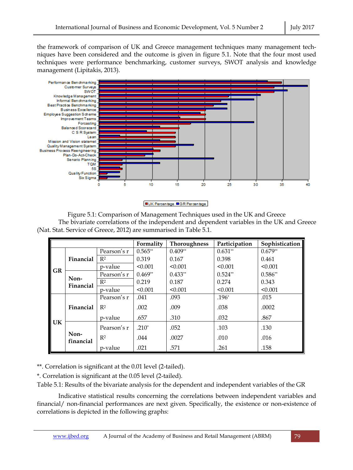the framework of comparison of UK and Greece management techniques many management techniques have been considered and the outcome is given in figure 5.1. Note that the four most used techniques were performance benchmarking, customer surveys, SWOT analysis and knowledge management (Lipitakis, 2013).





Figure 5.1: Comparison of Management Techniques used in the UK and Greece The bivariate correlations of the independent and dependent variables in the UK and Greece (Nat. Stat. Service of Greece, 2012) are summarised in Table 5.1.

|           |                   |                | Formality | <b>Thoroughness</b> | Participation | Sophistication |
|-----------|-------------------|----------------|-----------|---------------------|---------------|----------------|
| <b>GR</b> | Financial         | Pearson's r    | $0.565**$ | $0.409**$           | $0.631**$     | $0.679**$      |
|           |                   | R <sup>2</sup> | 0.319     | 0.167               | 0.398         | 0.461          |
|           |                   | p-value        | < 0.001   | < 0.001             | < 0.001       | < 0.001        |
|           | Non-<br>Financial | Pearson's r    | $0.469**$ | $0.433**$           | $0.524**$     | $0.586**$      |
|           |                   | $R^2$          | 0.219     | 0.187               | 0.274         | 0.343          |
|           |                   | p-value        | < 0.001   | < 0.001             | < 0.001       | < 0.001        |
| UK        | Financial         | Pearson's r    | .041      | .093                | $.196*$       | .015           |
|           |                   | $R^2$          | .002      | .009                | .038          | .0002          |
|           |                   | p-value        | .657      | .310                | .032          | .867           |
|           | Non-<br>financial | Pearson's r    | $.210*$   | .052                | .103          | .130           |
|           |                   | R <sup>2</sup> | .044      | .0027               | .010          | .016           |
|           |                   | p-value        | .021      | .571                | .261          | .158           |

\*\*. Correlation is significant at the 0.01 level (2-tailed).

\*. Correlation is significant at the 0.05 level (2-tailed).

Table 5.1: Results of the bivariate analysis for the dependent and independent variables of the GR

Indicative statistical results concerning the correlations between independent variables and financial/ non-financial performances are next given. Specifically, the existence or non-existence of correlations is depicted in the following graphs: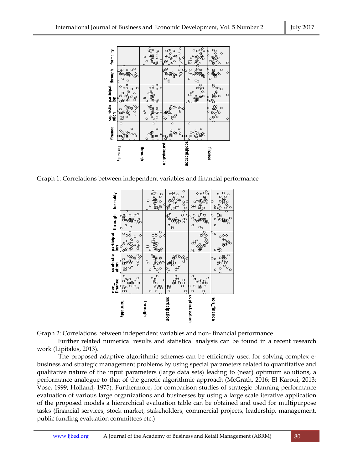

Graph 1: Correlations between independent variables and financial performance



Graph 2: Correlations between independent variables and non- financial performance

Further related numerical results and statistical analysis can be found in a recent research work (Lipitakis, 2013).

The proposed adaptive algorithmic schemes can be efficiently used for solving complex ebusiness and strategic management problems by using special parameters related to quantitative and qualitative nature of the input parameters (large data sets) leading to (near) optimum solutions, a performance analogue to that of the genetic algorithmic approach (McGrath, 2016; El Karoui, 2013; Vose, 1999; Holland, 1975). Furthermore, for comparison studies of strategic planning performance evaluation of various large organizations and businesses by using a large scale iterative application of the proposed models a hierarchical evaluation table can be obtained and used for multipurpose tasks (financial services, stock market, stakeholders, commercial projects, leadership, management, public funding evaluation committees etc.)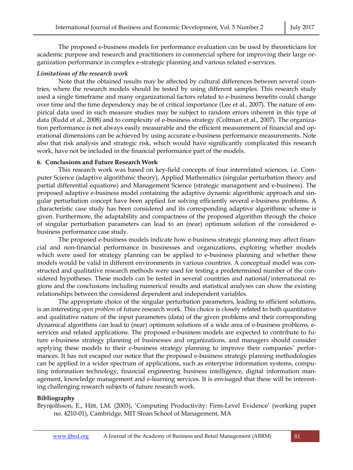The proposed e-business models for performance evaluation can be used by theoreticians for academic purpose and research and practitioners in commercial sphere for improving their large organization performance in complex e-strategic planning and various related e-services.

### *Limitations of the research work*

Note that the obtained results may be affected by cultural differences between several countries, where the research models should be tested by using different samples. This research study used a single timeframe and many organizational factors related to e-business benefits could change over time and the time dependency may be of critical importance (Lee et al., 2007). The nature of empirical data used in such measure studies may be subject to random errors inherent in this type of data (Rudd et al., 2008) and to complexity of e-business strategy (Coltman et al., 2007). The organization performance is not always easily measurable and the efficient measurement of financial and operational dimensions can be achieved by using accurate e-business performance measurements. Note also that risk analysis and strategic risk, which would have significantly complicated this research work, have not be included in the financial performance part of the models.

#### **6. Conclusions and Future Research Work**

This research work was based on key-field concepts of four interrelated sciences, i.e. Computer Science (adaptive algorithmic theory), Applied Mathematics (singular perturbation theory and partial differential equations) and Management Science (strategic management and e-business). The proposed adaptive e-business model containing the adaptive dynamic algorithmic approach and singular perturbation concept have been applied for solving efficiently several e-business problems. A characteristic case study has been considered and its corresponding adaptive algorithmic scheme is given. Furthermore, the adaptability and compactness of the proposed algorithm through the choice of singular perturbation parameters can lead to an (near) optimum solution of the considered ebusiness performance case study.

The proposed e-business models indicate how e-business strategic planning may affect financial and non-financial performance in businesses and organizations, exploring whether models which were used for strategy planning can be applied to e-business planning and whether these models would be valid in different environments in various countries. A conceptual model was constructed and qualitative research methods were used for testing a predetermined number of the considered hypotheses. These models can be tested in several countries and national/international regions and the conclusions including numerical results and statistical analyses can show the existing relationships between the considered dependent and independent variables.

The appropriate choice of the singular perturbation parameters, leading to efficient solutions, is an interesting *open problem* of future research work. This choice is closely related to both quantitative and qualitative nature of the input parameters (data) of the given problems and their corresponding dynamical algorithms can lead to (near) optimum solutions of a wide area of e-business problems, eservices and related applications. The proposed e-business models are expected to contribute to future e-business strategy planning of businesses and organizations, and managers should consider applying these models to their e-business strategy planning to improve their companies' performances. It has not escaped our notice that the proposed e-business strategy planning methodologies can be applied in a wider spectrum of applications, such as enterprise information systems, computing information technology, financial engineering business intelligence, digital information management, knowledge management and e-learning services. It is envisaged that these will be interesting challenging research subjects of future research work.

## **Bibliography**

Brynjolfsson, E., Hitt, LM. (2003), 'Computing Productivity: Firm-Level Evidence' (working paper no. 4210-01), Cambridge, MIT Sloan School of Management, MA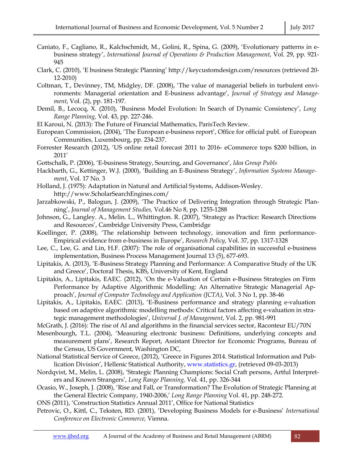- Caniato, F., Cagliano, R., Kalchschmidt, M., Golini, R., Spina, G. (2009), 'Evolutionary patterns in ebusiness strategy', *International Journal of Operations & Production Management*, Vol. 29, pp. 921- 945
- Clark, C. (2010), 'E business Strategic Planning' http://keycustomdesign.com/resources (retrieved 20- 12-2010)
- Coltman, T., Devinney, TM, Midgley, DF. (2008), 'The value of managerial beliefs in turbulent environments: Managerial orientation and E-business advantage', *Journal of Strategy and Management*, Vol. (2), pp. 181-197.
- Demil, B., Lecocq, X. (2010), 'Business Model Evolution: In Search of Dynamic Consistency', *Long Range Planning,* Vol. 43, pp. 227-246.
- El Karoui, N. (2013): The Future of Financial Mathematics, ParisTech Review.
- European Commission, (2004), 'The European e-business report', Office for official publ. of European Communities, Luxembourg, pp. 234-237.
- Forrester Research (2012), 'US online retail forecast 2011 to 2016- eCommerce tops \$200 billion, in 2011'
- Gottschalk, P. (2006), 'E-business Strategy, Sourcing, and Governance', *Idea Group Publs*
- Hackbarth, G., Kettinger, W.J. (2000), 'Building an E-Business Strategy', *Information Systems Management*, Vol. 17 No. 3
- Holland, J. (1975): Adaptation in Natural and Artificial Systems, Addison-Wesley. http://www.ScholarSearchEngines.com/
- Jarzabkowski, P., Balogun, J. (2009), 'The Practice of Delivering Integration through Strategic Planning', *Journal of Management Studies,* Vol.46 No 8, pp. 1255-1288
- Johnson, G., Langley. A., Melin. L., Whittington. R. (2007), 'Strategy as Practice: Research Directions and Resources', Cambridge University Press, Cambridge
- Koellinger, P. (2008), 'The relationship between technology, innovation and firm performance-Empirical evidence from e-business in Europe', *Research Policy,* Vol. 37, pp. 1317-1328
- Lee, C., Lee, G. and Lin, H.F. (2007): The role of organisational capabilities in successful e-business implementation, Business Process Management Journal 13 (5), 677-693.
- Lipitakis, A. (2013), 'E-Business Strategy Planning and Performance: A Comparative Study of the UK and Greece', Doctoral Thesis, KBS, University of Kent, England
- Lipitakis, A., Lipitakis, EAEC. (2012), 'On the e-Valuation of Certain e-Business Strategies on Firm Performance by Adaptive Algorithmic Modelling: An Alternative Strategic Managerial Approach', *Journal of Computer Technology and Application (JCTA)*, Vol. 3 No 1, pp. 38-46
- Lipitakis, A., Lipitakis, EAEC. (2013), 'E-Business performance and strategy planning e-valuation based on adaptive algorithmic modelling methods: Critical factors affecting e-valuation in strategic management methodologies', *Universal J. of Management*, Vol. 2, pp. 981-991
- McGrath, J. (2016): The rise of AI and algorithms in the financial services sector, Raconteur EU/70N
- Mesenbourgh, T.L. (2004), 'Measuring electronic business: Definitions, underlying concepts and measurement plans', Research Report, Assistant Director for Economic Programs, Bureau of the Census, US Government, Washington DC,
- National Statistical Service of Greece, (2012), 'Greece in Figures 2014. Statistical Information and Publication Division', Hellenic Statistical Authority, www.statistics.gr, (retrieved 09-03-2013)
- Nordqvist, M., Melin, L. (2008), 'Strategic Planning Champions: Social Craft persons, Artful Interpreters and Known Strangers', *Long Range Planning,* Vol. 41, pp. 326-344
- Ocasio, W., Joseph, J. (2008), 'Rise and Fall, or Transformation? The Evolution of Strategic Planning at the General Electric Company, 1940-2006,' *Long Range Planning* Vol. 41, pp. 248-272.
- ONS (2011), 'Construction Statistics Annual 2011', Office for National Statistics
- Petrovic, O., Kittl, C., Teksten, RD. (2001), 'Developing Business Models for e-Business' *International Conference on Electronic Commerce,* Vienna.